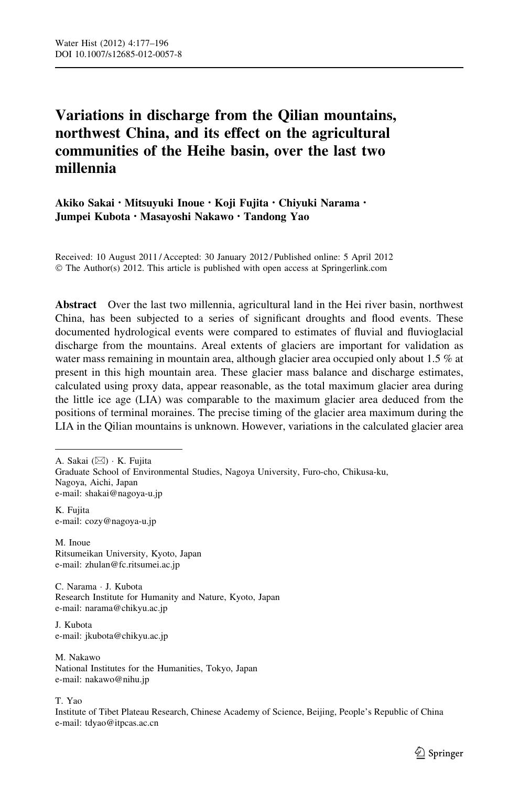# Variations in discharge from the Qilian mountains, northwest China, and its effect on the agricultural communities of the Heihe basin, over the last two millennia

## Akiko Sakai • Mitsuyuki Inoue • Koji Fujita • Chiyuki Narama • Jumpei Kubota • Masayoshi Nakawo • Tandong Yao

Received: 10 August 2011 / Accepted: 30 January 2012 / Published online: 5 April 2012 © The Author(s) 2012. This article is published with open access at Springerlink.com

Abstract Over the last two millennia, agricultural land in the Hei river basin, northwest China, has been subjected to a series of significant droughts and flood events. These documented hydrological events were compared to estimates of fluvial and fluvioglacial discharge from the mountains. Areal extents of glaciers are important for validation as water mass remaining in mountain area, although glacier area occupied only about 1.5 % at present in this high mountain area. These glacier mass balance and discharge estimates, calculated using proxy data, appear reasonable, as the total maximum glacier area during the little ice age (LIA) was comparable to the maximum glacier area deduced from the positions of terminal moraines. The precise timing of the glacier area maximum during the LIA in the Qilian mountains is unknown. However, variations in the calculated glacier area

A. Sakai (&) - K. Fujita

Graduate School of Environmental Studies, Nagoya University, Furo-cho, Chikusa-ku, Nagoya, Aichi, Japan e-mail: shakai@nagoya-u.jp

K. Fujita e-mail: cozy@nagoya-u.jp

M. Inoue Ritsumeikan University, Kyoto, Japan e-mail: zhulan@fc.ritsumei.ac.jp

C. Narama - J. Kubota Research Institute for Humanity and Nature, Kyoto, Japan e-mail: narama@chikyu.ac.jp

J. Kubota e-mail: jkubota@chikyu.ac.jp

M. Nakawo National Institutes for the Humanities, Tokyo, Japan e-mail: nakawo@nihu.jp

T. Yao

Institute of Tibet Plateau Research, Chinese Academy of Science, Beijing, People's Republic of China e-mail: tdyao@itpcas.ac.cn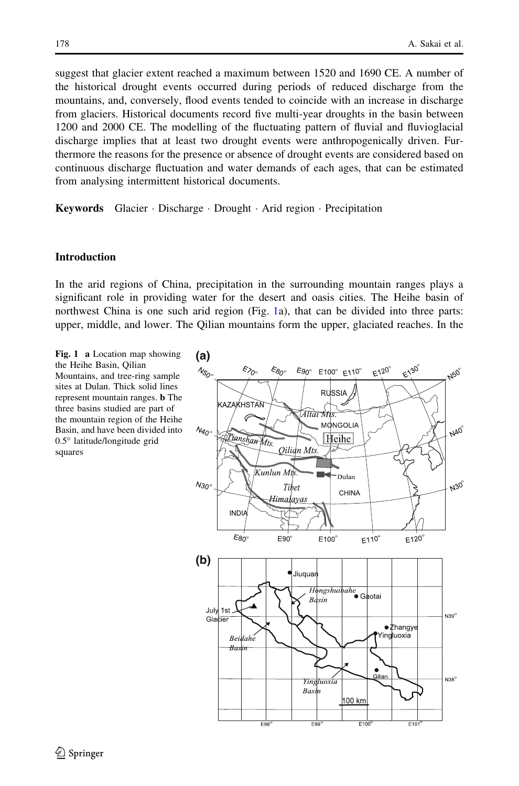<span id="page-1-0"></span>suggest that glacier extent reached a maximum between 1520 and 1690 CE. A number of the historical drought events occurred during periods of reduced discharge from the mountains, and, conversely, flood events tended to coincide with an increase in discharge from glaciers. Historical documents record five multi-year droughts in the basin between 1200 and 2000 CE. The modelling of the fluctuating pattern of fluvial and fluvioglacial discharge implies that at least two drought events were anthropogenically driven. Furthermore the reasons for the presence or absence of drought events are considered based on continuous discharge fluctuation and water demands of each ages, that can be estimated from analysing intermittent historical documents.

Keywords Glacier · Discharge · Drought · Arid region · Precipitation

## Introduction

In the arid regions of China, precipitation in the surrounding mountain ranges plays a significant role in providing water for the desert and oasis cities. The Heihe basin of northwest China is one such arid region (Fig. 1a), that can be divided into three parts: upper, middle, and lower. The Qilian mountains form the upper, glaciated reaches. In the

Fig. 1 a Location map showing the Heihe Basin, Qilian Mountains, and tree-ring sample sites at Dulan. Thick solid lines represent mountain ranges. b The three basins studied are part of the mountain region of the Heihe Basin, and have been divided into 0.5° latitude/longitude grid squares

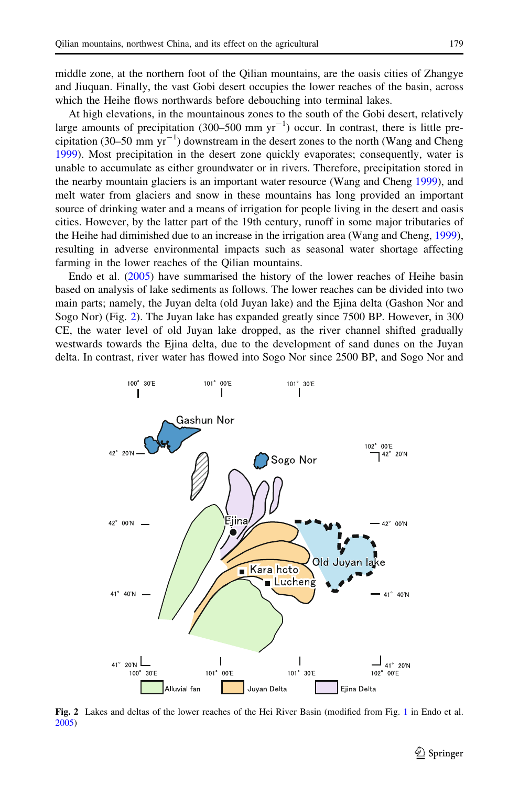<span id="page-2-0"></span>middle zone, at the northern foot of the Qilian mountains, are the oasis cities of Zhangye and Jiuquan. Finally, the vast Gobi desert occupies the lower reaches of the basin, across which the Heihe flows northwards before debouching into terminal lakes.

At high elevations, in the mountainous zones to the south of the Gobi desert, relatively large amounts of precipitation (300–500 mm  $yr^{-1}$ ) occur. In contrast, there is little precipitation (30–50 mm  $yr^{-1}$ ) downstream in the desert zones to the north (Wang and Cheng [1999\)](#page-18-0). Most precipitation in the desert zone quickly evaporates; consequently, water is unable to accumulate as either groundwater or in rivers. Therefore, precipitation stored in the nearby mountain glaciers is an important water resource (Wang and Cheng [1999\)](#page-18-0), and melt water from glaciers and snow in these mountains has long provided an important source of drinking water and a means of irrigation for people living in the desert and oasis cities. However, by the latter part of the 19th century, runoff in some major tributaries of the Heihe had diminished due to an increase in the irrigation area (Wang and Cheng, [1999](#page-18-0)), resulting in adverse environmental impacts such as seasonal water shortage affecting farming in the lower reaches of the Qilian mountains.

Endo et al. [\(2005](#page-17-0)) have summarised the history of the lower reaches of Heihe basin based on analysis of lake sediments as follows. The lower reaches can be divided into two main parts; namely, the Juyan delta (old Juyan lake) and the Ejina delta (Gashon Nor and Sogo Nor) (Fig. 2). The Juyan lake has expanded greatly since 7500 BP. However, in 300 CE, the water level of old Juyan lake dropped, as the river channel shifted gradually westwards towards the Ejina delta, due to the development of sand dunes on the Juyan delta. In contrast, river water has flowed into Sogo Nor since 2500 BP, and Sogo Nor and



Fig. 2 Lakes and deltas of the lower reaches of the Hei River Basin (modified from Fig. [1](#page-1-0) in Endo et al. [2005\)](#page-17-0)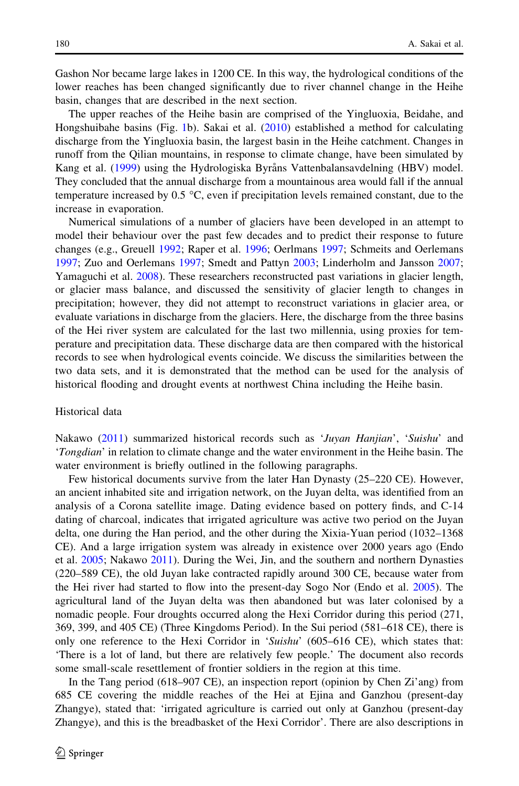Gashon Nor became large lakes in 1200 CE. In this way, the hydrological conditions of the lower reaches has been changed significantly due to river channel change in the Heihe basin, changes that are described in the next section.

The upper reaches of the Heihe basin are comprised of the Yingluoxia, Beidahe, and Hongshuibahe basins (Fig. [1b](#page-1-0)). Sakai et al. [\(2010](#page-18-0)) established a method for calculating discharge from the Yingluoxia basin, the largest basin in the Heihe catchment. Changes in runoff from the Qilian mountains, in response to climate change, have been simulated by Kang et al. ([1999\)](#page-18-0) using the Hydrologiska Byråns Vattenbalansavdelning (HBV) model. They concluded that the annual discharge from a mountainous area would fall if the annual temperature increased by  $0.5 \degree C$ , even if precipitation levels remained constant, due to the increase in evaporation.

Numerical simulations of a number of glaciers have been developed in an attempt to model their behaviour over the past few decades and to predict their response to future changes (e.g., Greuell [1992](#page-18-0); Raper et al. [1996](#page-18-0); Oerlmans [1997;](#page-18-0) Schmeits and Oerlemans [1997;](#page-18-0) Zuo and Oerlemans [1997](#page-19-0); Smedt and Pattyn [2003](#page-18-0); Linderholm and Jansson [2007;](#page-18-0) Yamaguchi et al. [2008\)](#page-18-0). These researchers reconstructed past variations in glacier length, or glacier mass balance, and discussed the sensitivity of glacier length to changes in precipitation; however, they did not attempt to reconstruct variations in glacier area, or evaluate variations in discharge from the glaciers. Here, the discharge from the three basins of the Hei river system are calculated for the last two millennia, using proxies for temperature and precipitation data. These discharge data are then compared with the historical records to see when hydrological events coincide. We discuss the similarities between the two data sets, and it is demonstrated that the method can be used for the analysis of historical flooding and drought events at northwest China including the Heihe basin.

#### Historical data

Nakawo [\(2011](#page-18-0)) summarized historical records such as 'Juyan Hanjian', 'Suishu' and 'Tongdian' in relation to climate change and the water environment in the Heihe basin. The water environment is briefly outlined in the following paragraphs.

Few historical documents survive from the later Han Dynasty (25–220 CE). However, an ancient inhabited site and irrigation network, on the Juyan delta, was identified from an analysis of a Corona satellite image. Dating evidence based on pottery finds, and C-14 dating of charcoal, indicates that irrigated agriculture was active two period on the Juyan delta, one during the Han period, and the other during the Xixia-Yuan period (1032–1368 CE). And a large irrigation system was already in existence over 2000 years ago (Endo et al. [2005;](#page-17-0) Nakawo [2011\)](#page-18-0). During the Wei, Jin, and the southern and northern Dynasties (220–589 CE), the old Juyan lake contracted rapidly around 300 CE, because water from the Hei river had started to flow into the present-day Sogo Nor (Endo et al. [2005\)](#page-17-0). The agricultural land of the Juyan delta was then abandoned but was later colonised by a nomadic people. Four droughts occurred along the Hexi Corridor during this period (271, 369, 399, and 405 CE) (Three Kingdoms Period). In the Sui period (581–618 CE), there is only one reference to the Hexi Corridor in 'Suishu' (605–616 CE), which states that: 'There is a lot of land, but there are relatively few people.' The document also records some small-scale resettlement of frontier soldiers in the region at this time.

In the Tang period (618–907 CE), an inspection report (opinion by Chen Zi'ang) from 685 CE covering the middle reaches of the Hei at Ejina and Ganzhou (present-day Zhangye), stated that: 'irrigated agriculture is carried out only at Ganzhou (present-day Zhangye), and this is the breadbasket of the Hexi Corridor'. There are also descriptions in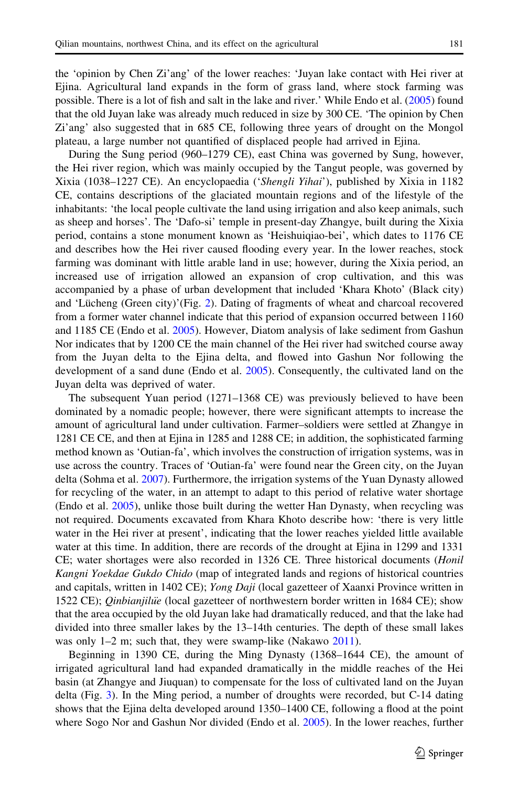the 'opinion by Chen Zi'ang' of the lower reaches: 'Juyan lake contact with Hei river at Ejina. Agricultural land expands in the form of grass land, where stock farming was possible. There is a lot of fish and salt in the lake and river.' While Endo et al. [\(2005](#page-17-0)) found that the old Juyan lake was already much reduced in size by 300 CE. 'The opinion by Chen Zi'ang' also suggested that in 685 CE, following three years of drought on the Mongol plateau, a large number not quantified of displaced people had arrived in Ejina.

During the Sung period (960–1279 CE), east China was governed by Sung, however, the Hei river region, which was mainly occupied by the Tangut people, was governed by Xixia (1038–1227 CE). An encyclopaedia ('Shengli Yihai'), published by Xixia in 1182 CE, contains descriptions of the glaciated mountain regions and of the lifestyle of the inhabitants: 'the local people cultivate the land using irrigation and also keep animals, such as sheep and horses'. The 'Dafo-si' temple in present-day Zhangye, built during the Xixia period, contains a stone monument known as 'Heishuiqiao-bei', which dates to 1176 CE and describes how the Hei river caused flooding every year. In the lower reaches, stock farming was dominant with little arable land in use; however, during the Xixia period, an increased use of irrigation allowed an expansion of crop cultivation, and this was accompanied by a phase of urban development that included 'Khara Khoto' (Black city) and 'Lücheng (Green city)'(Fig. [2](#page-2-0)). Dating of fragments of wheat and charcoal recovered from a former water channel indicate that this period of expansion occurred between 1160 and 1185 CE (Endo et al. [2005](#page-17-0)). However, Diatom analysis of lake sediment from Gashun Nor indicates that by 1200 CE the main channel of the Hei river had switched course away from the Juyan delta to the Ejina delta, and flowed into Gashun Nor following the development of a sand dune (Endo et al. [2005](#page-17-0)). Consequently, the cultivated land on the Juyan delta was deprived of water.

The subsequent Yuan period (1271–1368 CE) was previously believed to have been dominated by a nomadic people; however, there were significant attempts to increase the amount of agricultural land under cultivation. Farmer–soldiers were settled at Zhangye in 1281 CE CE, and then at Ejina in 1285 and 1288 CE; in addition, the sophisticated farming method known as 'Outian-fa', which involves the construction of irrigation systems, was in use across the country. Traces of 'Outian-fa' were found near the Green city, on the Juyan delta (Sohma et al. [2007\)](#page-18-0). Furthermore, the irrigation systems of the Yuan Dynasty allowed for recycling of the water, in an attempt to adapt to this period of relative water shortage (Endo et al. [2005\)](#page-17-0), unlike those built during the wetter Han Dynasty, when recycling was not required. Documents excavated from Khara Khoto describe how: 'there is very little water in the Hei river at present', indicating that the lower reaches yielded little available water at this time. In addition, there are records of the drought at Ejina in 1299 and 1331 CE; water shortages were also recorded in 1326 CE. Three historical documents (Honil Kangni Yoekdae Gukdo Chido (map of integrated lands and regions of historical countries and capitals, written in 1402 CE); Yong Daji (local gazetteer of Xaanxi Province written in 1522 CE); *Qinbianjilue* (local gazetteer of northwestern border written in 1684 CE); show that the area occupied by the old Juyan lake had dramatically reduced, and that the lake had divided into three smaller lakes by the 13–14th centuries. The depth of these small lakes was only 1-2 m; such that, they were swamp-like (Nakawo [2011\)](#page-18-0).

Beginning in 1390 CE, during the Ming Dynasty (1368–1644 CE), the amount of irrigated agricultural land had expanded dramatically in the middle reaches of the Hei basin (at Zhangye and Jiuquan) to compensate for the loss of cultivated land on the Juyan delta (Fig. [3\)](#page-5-0). In the Ming period, a number of droughts were recorded, but C-14 dating shows that the Ejina delta developed around 1350–1400 CE, following a flood at the point where Sogo Nor and Gashun Nor divided (Endo et al. [2005\)](#page-17-0). In the lower reaches, further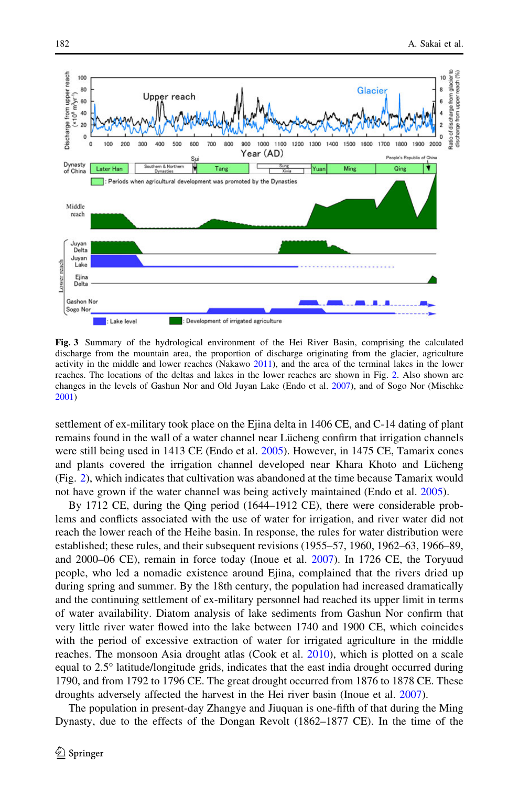<span id="page-5-0"></span>

Fig. 3 Summary of the hydrological environment of the Hei River Basin, comprising the calculated discharge from the mountain area, the proportion of discharge originating from the glacier, agriculture activity in the middle and lower reaches (Nakawo [2011\)](#page-18-0), and the area of the terminal lakes in the lower reaches. The locations of the deltas and lakes in the lower reaches are shown in Fig. [2](#page-2-0). Also shown are changes in the levels of Gashun Nor and Old Juyan Lake (Endo et al. [2007\)](#page-18-0), and of Sogo Nor (Mischke [2001\)](#page-18-0)

settlement of ex-military took place on the Ejina delta in 1406 CE, and C-14 dating of plant remains found in the wall of a water channel near Lücheng confirm that irrigation channels were still being used in 1413 CE (Endo et al. [2005](#page-17-0)). However, in 1475 CE, Tamarix cones and plants covered the irrigation channel developed near Khara Khoto and Lücheng (Fig. [2\)](#page-2-0), which indicates that cultivation was abandoned at the time because Tamarix would not have grown if the water channel was being actively maintained (Endo et al. [2005](#page-17-0)).

By 1712 CE, during the Qing period (1644–1912 CE), there were considerable problems and conflicts associated with the use of water for irrigation, and river water did not reach the lower reach of the Heihe basin. In response, the rules for water distribution were established; these rules, and their subsequent revisions (1955–57, 1960, 1962–63, 1966–89, and 2000–06 CE), remain in force today (Inoue et al. [2007\)](#page-18-0). In 1726 CE, the Toryuud people, who led a nomadic existence around Ejina, complained that the rivers dried up during spring and summer. By the 18th century, the population had increased dramatically and the continuing settlement of ex-military personnel had reached its upper limit in terms of water availability. Diatom analysis of lake sediments from Gashun Nor confirm that very little river water flowed into the lake between 1740 and 1900 CE, which coincides with the period of excessive extraction of water for irrigated agriculture in the middle reaches. The monsoon Asia drought atlas (Cook et al. [2010](#page-17-0)), which is plotted on a scale equal to 2.5<sup>°</sup> latitude/longitude grids, indicates that the east india drought occurred during 1790, and from 1792 to 1796 CE. The great drought occurred from 1876 to 1878 CE. These droughts adversely affected the harvest in the Hei river basin (Inoue et al. [2007](#page-18-0)).

The population in present-day Zhangye and Jiuquan is one-fifth of that during the Ming Dynasty, due to the effects of the Dongan Revolt (1862–1877 CE). In the time of the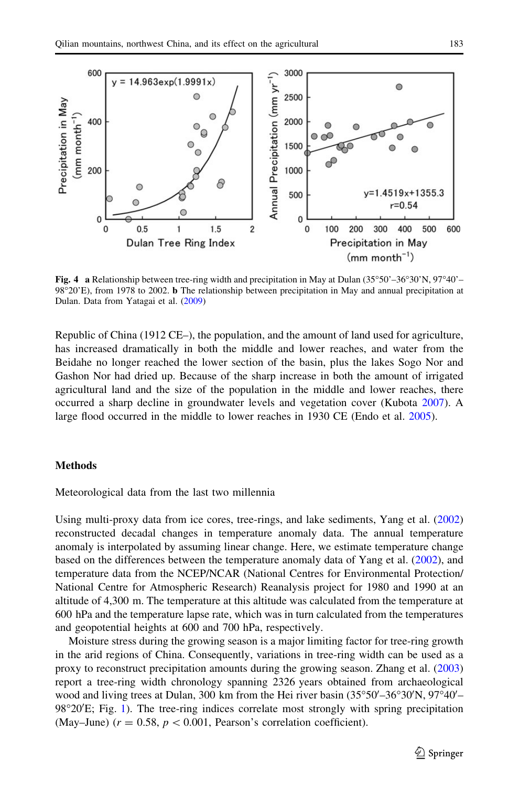<span id="page-6-0"></span>

Fig. 4 a Relationship between tree-ring width and precipitation in May at Dulan  $(35^{\circ}50^{\circ}-36^{\circ}30^{\circ}N, 97^{\circ}40^{\circ}-$ 98°20'E), from 1978 to 2002. **b** The relationship between precipitation in May and annual precipitation at Dulan. Data from Yatagai et al. ([2009\)](#page-18-0)

Republic of China (1912 CE–), the population, and the amount of land used for agriculture, has increased dramatically in both the middle and lower reaches, and water from the Beidahe no longer reached the lower section of the basin, plus the lakes Sogo Nor and Gashon Nor had dried up. Because of the sharp increase in both the amount of irrigated agricultural land and the size of the population in the middle and lower reaches, there occurred a sharp decline in groundwater levels and vegetation cover (Kubota [2007](#page-18-0)). A large flood occurred in the middle to lower reaches in 1930 CE (Endo et al. [2005](#page-17-0)).

## **Methods**

Meteorological data from the last two millennia

Using multi-proxy data from ice cores, tree-rings, and lake sediments, Yang et al. ([2002](#page-18-0)) reconstructed decadal changes in temperature anomaly data. The annual temperature anomaly is interpolated by assuming linear change. Here, we estimate temperature change based on the differences between the temperature anomaly data of Yang et al. ([2002\)](#page-18-0), and temperature data from the NCEP/NCAR (National Centres for Environmental Protection/ National Centre for Atmospheric Research) Reanalysis project for 1980 and 1990 at an altitude of 4,300 m. The temperature at this altitude was calculated from the temperature at 600 hPa and the temperature lapse rate, which was in turn calculated from the temperatures and geopotential heights at 600 and 700 hPa, respectively.

Moisture stress during the growing season is a major limiting factor for tree-ring growth in the arid regions of China. Consequently, variations in tree-ring width can be used as a proxy to reconstruct precipitation amounts during the growing season. Zhang et al. ([2003](#page-19-0)) report a tree-ring width chronology spanning 2326 years obtained from archaeological wood and living trees at Dulan, 300 km from the Hei river basin (35°50'-36°30'N, 97°40'-98°20'E; Fig. [1\)](#page-1-0). The tree-ring indices correlate most strongly with spring precipitation (May–June) ( $r = 0.58$ ,  $p < 0.001$ , Pearson's correlation coefficient).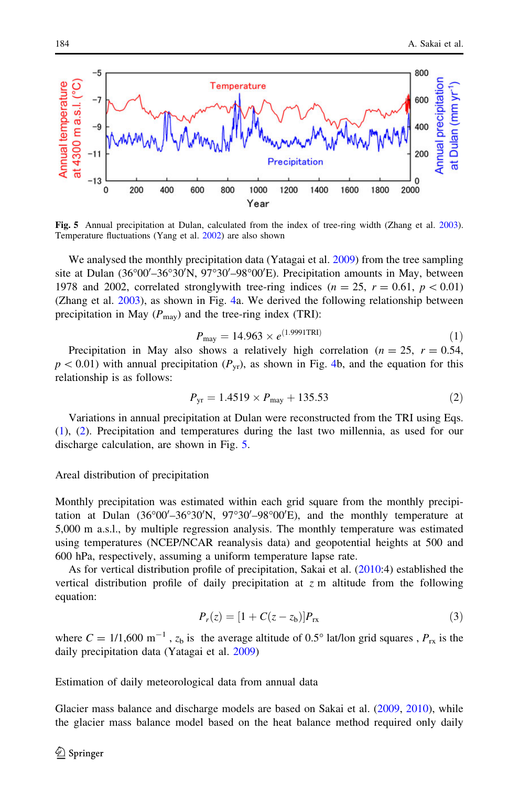<span id="page-7-0"></span>800  $-5$ Annual temperature nnual precipitation at 4300 m a.s.l. (°C) Temperature t Dulan (mm yr  $-7$ 600 400  $-a$  $-11$ 200 Precipitation  $-13$ 400 600 800 1000 1200 1400 1600 1800 2000 0 200 Year

Fig. 5 Annual precipitation at Dulan, calculated from the index of tree-ring width (Zhang et al. [2003\)](#page-19-0). Temperature fluctuations (Yang et al. [2002](#page-18-0)) are also shown

We analysed the monthly precipitation data (Yatagai et al. [2009\)](#page-18-0) from the tree sampling site at Dulan (36°00'-36°30'N, 97°30'-98°00'E). Precipitation amounts in May, between 1978 and 2002, correlated stronglywith tree-ring indices ( $n = 25$ ,  $r = 0.61$ ,  $p < 0.01$ ) (Zhang et al. [2003\)](#page-19-0), as shown in Fig. [4](#page-6-0)a. We derived the following relationship between precipitation in May  $(P_{\text{max}})$  and the tree-ring index (TRI):

$$
P_{\text{may}} = 14.963 \times e^{(1.9991 \text{TRI})} \tag{1}
$$

Precipitation in May also shows a relatively high correlation ( $n = 25$ ,  $r = 0.54$ ,  $p<0.01$ ) with annual precipitation ( $P_{vr}$ ), as shown in Fig. [4](#page-6-0)b, and the equation for this relationship is as follows:

$$
P_{\rm yr} = 1.4519 \times P_{\rm may} + 135.53\tag{2}
$$

Variations in annual precipitation at Dulan were reconstructed from the TRI using Eqs. (1), (2). Precipitation and temperatures during the last two millennia, as used for our discharge calculation, are shown in Fig. 5.

Areal distribution of precipitation

Monthly precipitation was estimated within each grid square from the monthly precipitation at Dulan  $(36^{\circ}00' - 36^{\circ}30'N, 97^{\circ}30' - 98^{\circ}00'E)$ , and the monthly temperature at 5,000 m a.s.l., by multiple regression analysis. The monthly temperature was estimated using temperatures (NCEP/NCAR reanalysis data) and geopotential heights at 500 and 600 hPa, respectively, assuming a uniform temperature lapse rate.

As for vertical distribution profile of precipitation, Sakai et al. ([2010:](#page-18-0)4) established the vertical distribution profile of daily precipitation at  $z$  m altitude from the following equation:

$$
P_r(z) = [1 + C(z - z_b)]P_{rx}
$$
 (3)

where  $C = 1/1,600 \text{ m}^{-1}$ ,  $z_b$  is the average altitude of 0.5° lat/lon grid squares,  $P_{rx}$  is the daily precipitation data (Yatagai et al. [2009](#page-18-0))

Estimation of daily meteorological data from annual data

Glacier mass balance and discharge models are based on Sakai et al. ([2009,](#page-18-0) [2010\)](#page-18-0), while the glacier mass balance model based on the heat balance method required only daily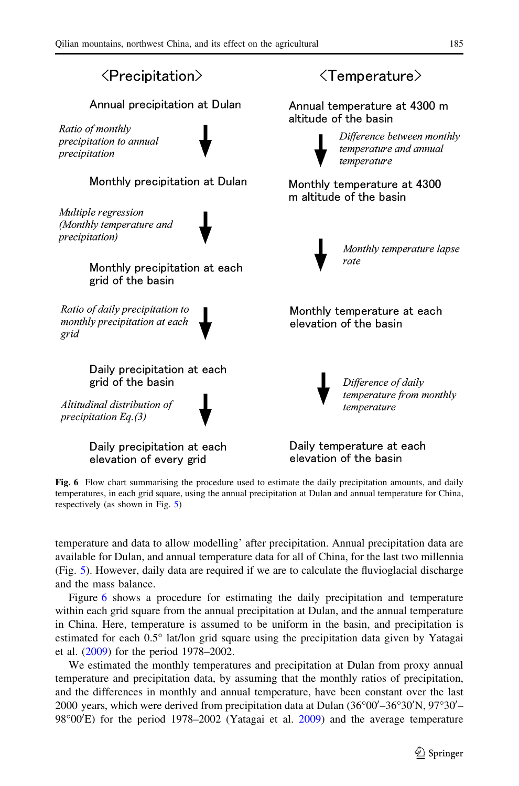

Fig. 6 Flow chart summarising the procedure used to estimate the daily precipitation amounts, and daily temperatures, in each grid square, using the annual precipitation at Dulan and annual temperature for China, respectively (as shown in Fig. [5](#page-7-0))

temperature and data to allow modelling' after precipitation. Annual precipitation data are available for Dulan, and annual temperature data for all of China, for the last two millennia (Fig. [5\)](#page-7-0). However, daily data are required if we are to calculate the fluvioglacial discharge and the mass balance.

Figure 6 shows a procedure for estimating the daily precipitation and temperature within each grid square from the annual precipitation at Dulan, and the annual temperature in China. Here, temperature is assumed to be uniform in the basin, and precipitation is estimated for each 0.5° lat/lon grid square using the precipitation data given by Yatagai et al. [\(2009](#page-18-0)) for the period 1978–2002.

We estimated the monthly temperatures and precipitation at Dulan from proxy annual temperature and precipitation data, by assuming that the monthly ratios of precipitation, and the differences in monthly and annual temperature, have been constant over the last 2000 years, which were derived from precipitation data at Dulan (36°00'-36°30'N, 97°30'-98°00'E) for the period 1978–2002 (Yatagai et al. [2009](#page-18-0)) and the average temperature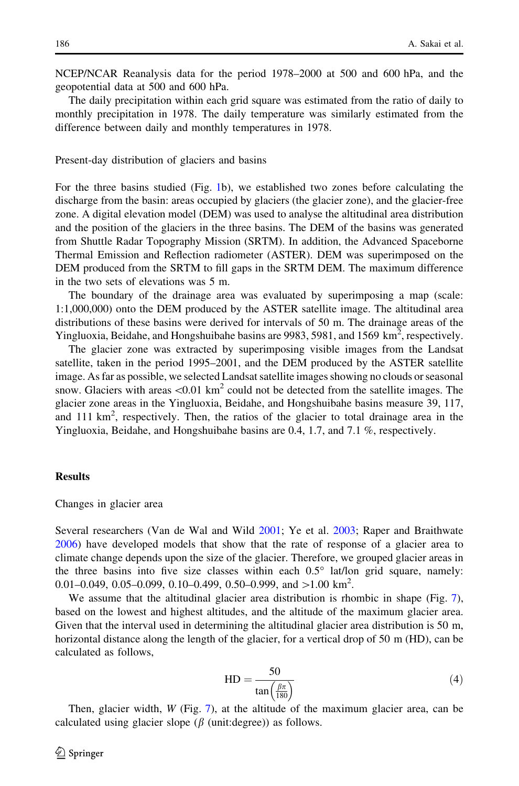NCEP/NCAR Reanalysis data for the period 1978–2000 at 500 and 600 hPa, and the geopotential data at 500 and 600 hPa.

The daily precipitation within each grid square was estimated from the ratio of daily to monthly precipitation in 1978. The daily temperature was similarly estimated from the difference between daily and monthly temperatures in 1978.

Present-day distribution of glaciers and basins

For the three basins studied (Fig. [1b](#page-1-0)), we established two zones before calculating the discharge from the basin: areas occupied by glaciers (the glacier zone), and the glacier-free zone. A digital elevation model (DEM) was used to analyse the altitudinal area distribution and the position of the glaciers in the three basins. The DEM of the basins was generated from Shuttle Radar Topography Mission (SRTM). In addition, the Advanced Spaceborne Thermal Emission and Reflection radiometer (ASTER). DEM was superimposed on the DEM produced from the SRTM to fill gaps in the SRTM DEM. The maximum difference in the two sets of elevations was 5 m.

The boundary of the drainage area was evaluated by superimposing a map (scale: 1:1,000,000) onto the DEM produced by the ASTER satellite image. The altitudinal area distributions of these basins were derived for intervals of 50 m. The drainage areas of the Yingluoxia, Beidahe, and Hongshuibahe basins are 9983, 5981, and 1569  $\text{km}^2$ , respectively.

The glacier zone was extracted by superimposing visible images from the Landsat satellite, taken in the period 1995–2001, and the DEM produced by the ASTER satellite image. As far as possible, we selected Landsat satellite images showing no clouds or seasonal snow. Glaciers with areas  $\leq 0.01$  km<sup>2</sup> could not be detected from the satellite images. The glacier zone areas in the Yingluoxia, Beidahe, and Hongshuibahe basins measure 39, 117, and  $111 \text{ km}^2$ , respectively. Then, the ratios of the glacier to total drainage area in the Yingluoxia, Beidahe, and Hongshuibahe basins are 0.4, 1.7, and 7.1 %, respectively.

#### **Results**

Changes in glacier area

Several researchers (Van de Wal and Wild [2001](#page-18-0); Ye et al. [2003](#page-18-0); Raper and Braithwate [2006\)](#page-18-0) have developed models that show that the rate of response of a glacier area to climate change depends upon the size of the glacier. Therefore, we grouped glacier areas in the three basins into five size classes within each  $0.5^{\circ}$  lat/lon grid square, namely: 0.01–0.049, 0.05–0.099, 0.10–0.499, 0.50–0.999, and  $>1.00$  km<sup>2</sup>.

We assume that the altitudinal glacier area distribution is rhombic in shape (Fig. [7](#page-10-0)), based on the lowest and highest altitudes, and the altitude of the maximum glacier area. Given that the interval used in determining the altitudinal glacier area distribution is 50 m, horizontal distance along the length of the glacier, for a vertical drop of 50 m (HD), can be calculated as follows,

$$
HD = \frac{50}{\tan\left(\frac{\beta \pi}{180}\right)}\tag{4}
$$

Then, glacier width, W (Fig. [7\)](#page-10-0), at the altitude of the maximum glacier area, can be calculated using glacier slope ( $\beta$  (unit:degree)) as follows.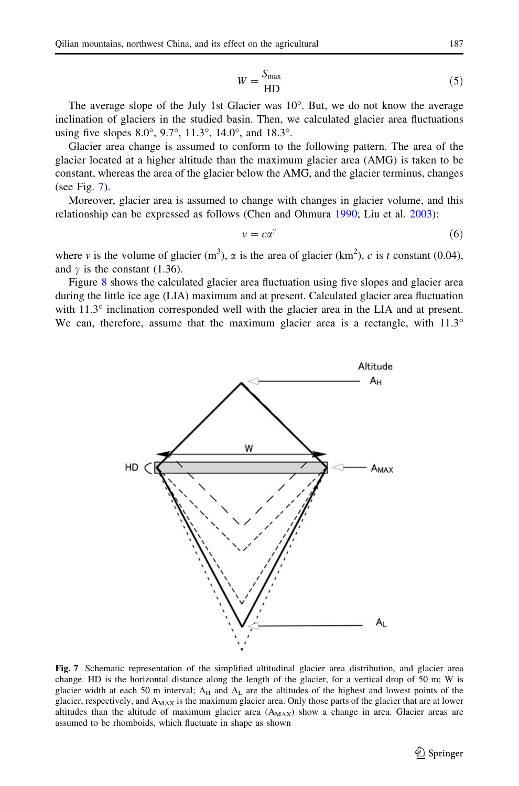$$
W = \frac{S_{\text{max}}}{\text{HD}}\tag{5}
$$

<span id="page-10-0"></span>The average slope of the July 1st Glacier was  $10^{\circ}$ . But, we do not know the average inclination of glaciers in the studied basin. Then, we calculated glacier area fluctuations using five slopes  $8.0^{\circ}$ ,  $9.7^{\circ}$ ,  $11.3^{\circ}$ ,  $14.0^{\circ}$ , and  $18.3^{\circ}$ .

Glacier area change is assumed to conform to the following pattern. The area of the glacier located at a higher altitude than the maximum glacier area (AMG) is taken to be constant, whereas the area of the glacier below the AMG, and the glacier terminus, changes (see Fig. 7).

Moreover, glacier area is assumed to change with changes in glacier volume, and this relationship can be expressed as follows (Chen and Ohmura [1990;](#page-17-0) Liu et al. [2003](#page-18-0)):

$$
v = c\alpha^{\gamma} \tag{6}
$$

where v is the volume of glacier (m<sup>3</sup>),  $\alpha$  is the area of glacier (km<sup>2</sup>), c is t constant (0.04), and  $\gamma$  is the constant (1.36).

Figure [8](#page-11-0) shows the calculated glacier area fluctuation using five slopes and glacier area during the little ice age (LIA) maximum and at present. Calculated glacier area fluctuation with  $11.3^\circ$  inclination corresponded well with the glacier area in the LIA and at present. We can, therefore, assume that the maximum glacier area is a rectangle, with  $11.3^{\circ}$ 



Fig. 7 Schematic representation of the simplified altitudinal glacier area distribution, and glacier area change. HD is the horizontal distance along the length of the glacier, for a vertical drop of 50 m; W is glacier width at each 50 m interval;  $A_H$  and  $A_L$  are the altitudes of the highest and lowest points of the glacier, respectively, and  $A_{MAX}$  is the maximum glacier area. Only those parts of the glacier that are at lower altitudes than the altitude of maximum glacier area  $(A_{MAX})$  show a change in area. Glacier areas are assumed to be rhomboids, which fluctuate in shape as shown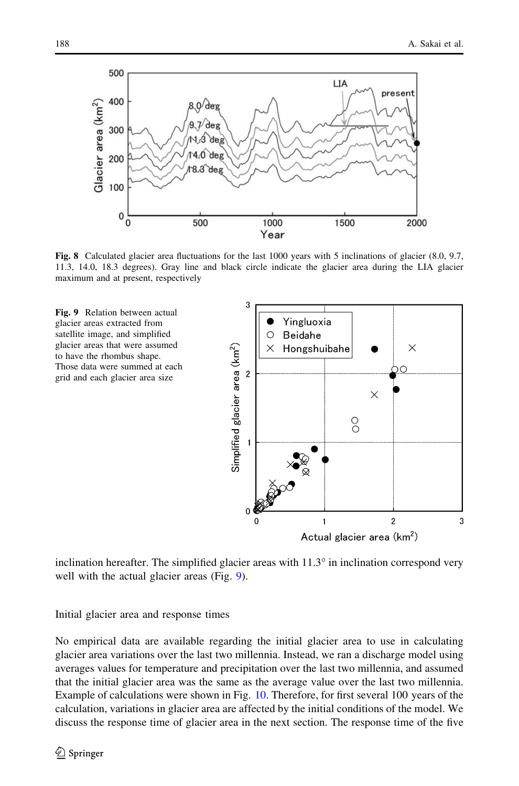<span id="page-11-0"></span>

Fig. 8 Calculated glacier area fluctuations for the last 1000 years with 5 inclinations of glacier (8.0, 9.7, 11.3, 14.0, 18.3 degrees). Gray line and black circle indicate the glacier area during the LIA glacier maximum and at present, respectively





inclination hereafter. The simplified glacier areas with  $11.3^\circ$  in inclination correspond very well with the actual glacier areas (Fig. 9).

#### Initial glacier area and response times

No empirical data are available regarding the initial glacier area to use in calculating glacier area variations over the last two millennia. Instead, we ran a discharge model using averages values for temperature and precipitation over the last two millennia, and assumed that the initial glacier area was the same as the average value over the last two millennia. Example of calculations were shown in Fig. [10](#page-12-0). Therefore, for first several 100 years of the calculation, variations in glacier area are affected by the initial conditions of the model. We discuss the response time of glacier area in the next section. The response time of the five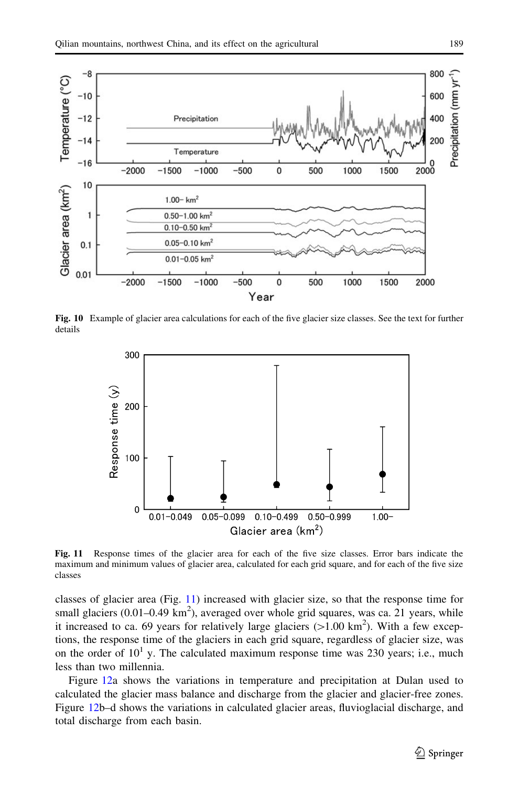<span id="page-12-0"></span>

Fig. 10 Example of glacier area calculations for each of the five glacier size classes. See the text for further details



Fig. 11 Response times of the glacier area for each of the five size classes. Error bars indicate the maximum and minimum values of glacier area, calculated for each grid square, and for each of the five size classes

classes of glacier area (Fig. 11) increased with glacier size, so that the response time for small glaciers  $(0.01-0.49 \text{ km}^2)$ , averaged over whole grid squares, was ca. 21 years, while it increased to ca. 69 years for relatively large glaciers  $(>1.00 \text{ km}^2)$ . With a few exceptions, the response time of the glaciers in each grid square, regardless of glacier size, was on the order of  $10<sup>1</sup>$  y. The calculated maximum response time was 230 years; i.e., much less than two millennia.

Figure [12](#page-13-0)a shows the variations in temperature and precipitation at Dulan used to calculated the glacier mass balance and discharge from the glacier and glacier-free zones. Figure [12](#page-13-0)b–d shows the variations in calculated glacier areas, fluvioglacial discharge, and total discharge from each basin.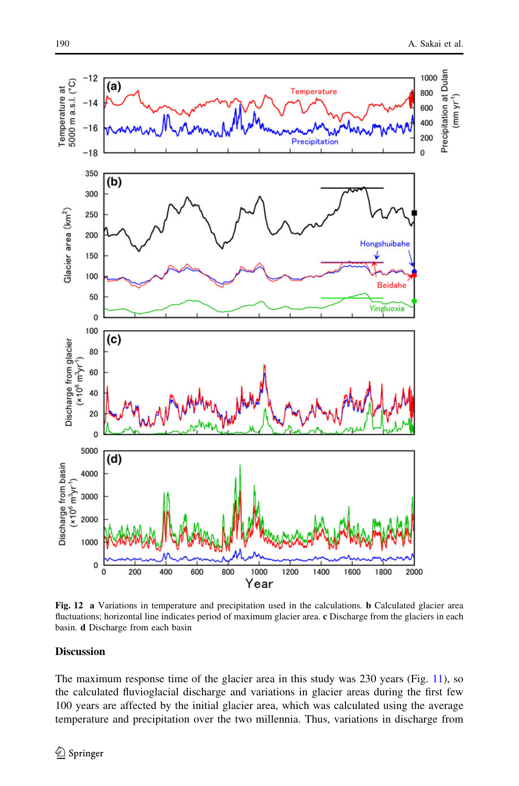<span id="page-13-0"></span>

Fig. 12 a Variations in temperature and precipitation used in the calculations. b Calculated glacier area fluctuations; horizontal line indicates period of maximum glacier area. c Discharge from the glaciers in each basin. d Discharge from each basin

## Discussion

The maximum response time of the glacier area in this study was 230 years (Fig. [11\)](#page-12-0), so the calculated fluvioglacial discharge and variations in glacier areas during the first few 100 years are affected by the initial glacier area, which was calculated using the average temperature and precipitation over the two millennia. Thus, variations in discharge from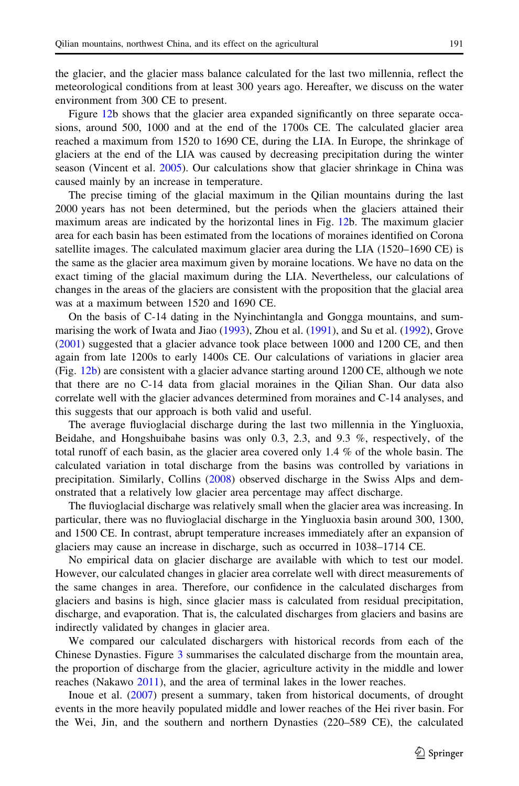the glacier, and the glacier mass balance calculated for the last two millennia, reflect the meteorological conditions from at least 300 years ago. Hereafter, we discuss on the water environment from 300 CE to present.

Figure [12](#page-13-0)b shows that the glacier area expanded significantly on three separate occasions, around 500, 1000 and at the end of the 1700s CE. The calculated glacier area reached a maximum from 1520 to 1690 CE, during the LIA. In Europe, the shrinkage of glaciers at the end of the LIA was caused by decreasing precipitation during the winter season (Vincent et al. [2005](#page-18-0)). Our calculations show that glacier shrinkage in China was caused mainly by an increase in temperature.

The precise timing of the glacial maximum in the Qilian mountains during the last 2000 years has not been determined, but the periods when the glaciers attained their maximum areas are indicated by the horizontal lines in Fig. [12b](#page-13-0). The maximum glacier area for each basin has been estimated from the locations of moraines identified on Corona satellite images. The calculated maximum glacier area during the LIA (1520–1690 CE) is the same as the glacier area maximum given by moraine locations. We have no data on the exact timing of the glacial maximum during the LIA. Nevertheless, our calculations of changes in the areas of the glaciers are consistent with the proposition that the glacial area was at a maximum between 1520 and 1690 CE.

On the basis of C-14 dating in the Nyinchintangla and Gongga mountains, and sum-marising the work of Iwata and Jiao [\(1993](#page-18-0)), Zhou et al. ([1991](#page-19-0)), and Su et al. [\(1992](#page-18-0)), Grove ([2001\)](#page-18-0) suggested that a glacier advance took place between 1000 and 1200 CE, and then again from late 1200s to early 1400s CE. Our calculations of variations in glacier area (Fig. [12b](#page-13-0)) are consistent with a glacier advance starting around 1200 CE, although we note that there are no C-14 data from glacial moraines in the Qilian Shan. Our data also correlate well with the glacier advances determined from moraines and C-14 analyses, and this suggests that our approach is both valid and useful.

The average fluvioglacial discharge during the last two millennia in the Yingluoxia, Beidahe, and Hongshuibahe basins was only 0.3, 2.3, and 9.3 %, respectively, of the total runoff of each basin, as the glacier area covered only 1.4 % of the whole basin. The calculated variation in total discharge from the basins was controlled by variations in precipitation. Similarly, Collins [\(2008\)](#page-17-0) observed discharge in the Swiss Alps and demonstrated that a relatively low glacier area percentage may affect discharge.

The fluvioglacial discharge was relatively small when the glacier area was increasing. In particular, there was no fluvioglacial discharge in the Yingluoxia basin around 300, 1300, and 1500 CE. In contrast, abrupt temperature increases immediately after an expansion of glaciers may cause an increase in discharge, such as occurred in 1038–1714 CE.

No empirical data on glacier discharge are available with which to test our model. However, our calculated changes in glacier area correlate well with direct measurements of the same changes in area. Therefore, our confidence in the calculated discharges from glaciers and basins is high, since glacier mass is calculated from residual precipitation, discharge, and evaporation. That is, the calculated discharges from glaciers and basins are indirectly validated by changes in glacier area.

We compared our calculated dischargers with historical records from each of the Chinese Dynasties. Figure [3](#page-5-0) summarises the calculated discharge from the mountain area, the proportion of discharge from the glacier, agriculture activity in the middle and lower reaches (Nakawo [2011](#page-18-0)), and the area of terminal lakes in the lower reaches.

Inoue et al. ([2007\)](#page-18-0) present a summary, taken from historical documents, of drought events in the more heavily populated middle and lower reaches of the Hei river basin. For the Wei, Jin, and the southern and northern Dynasties (220–589 CE), the calculated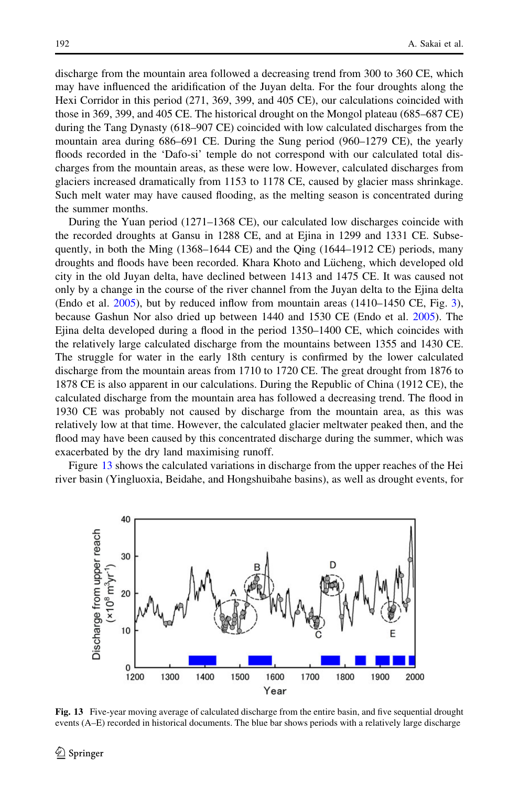<span id="page-15-0"></span>discharge from the mountain area followed a decreasing trend from 300 to 360 CE, which may have influenced the aridification of the Juyan delta. For the four droughts along the Hexi Corridor in this period (271, 369, 399, and 405 CE), our calculations coincided with those in 369, 399, and 405 CE. The historical drought on the Mongol plateau (685–687 CE) during the Tang Dynasty (618–907 CE) coincided with low calculated discharges from the mountain area during 686–691 CE. During the Sung period (960–1279 CE), the yearly floods recorded in the 'Dafo-si' temple do not correspond with our calculated total discharges from the mountain areas, as these were low. However, calculated discharges from glaciers increased dramatically from 1153 to 1178 CE, caused by glacier mass shrinkage. Such melt water may have caused flooding, as the melting season is concentrated during the summer months.

During the Yuan period (1271–1368 CE), our calculated low discharges coincide with the recorded droughts at Gansu in 1288 CE, and at Ejina in 1299 and 1331 CE. Subsequently, in both the Ming (1368–1644 CE) and the Qing (1644–1912 CE) periods, many droughts and floods have been recorded. Khara Khoto and Lücheng, which developed old city in the old Juyan delta, have declined between 1413 and 1475 CE. It was caused not only by a change in the course of the river channel from the Juyan delta to the Ejina delta (Endo et al. [2005](#page-17-0)), but by reduced inflow from mountain areas (1410–1450 CE, Fig. [3](#page-5-0)), because Gashun Nor also dried up between 1440 and 1530 CE (Endo et al. [2005\)](#page-17-0). The Ejina delta developed during a flood in the period 1350–1400 CE, which coincides with the relatively large calculated discharge from the mountains between 1355 and 1430 CE. The struggle for water in the early 18th century is confirmed by the lower calculated discharge from the mountain areas from 1710 to 1720 CE. The great drought from 1876 to 1878 CE is also apparent in our calculations. During the Republic of China (1912 CE), the calculated discharge from the mountain area has followed a decreasing trend. The flood in 1930 CE was probably not caused by discharge from the mountain area, as this was relatively low at that time. However, the calculated glacier meltwater peaked then, and the flood may have been caused by this concentrated discharge during the summer, which was exacerbated by the dry land maximising runoff.

Figure 13 shows the calculated variations in discharge from the upper reaches of the Hei river basin (Yingluoxia, Beidahe, and Hongshuibahe basins), as well as drought events, for



Fig. 13 Five-year moving average of calculated discharge from the entire basin, and five sequential drought events (A–E) recorded in historical documents. The blue bar shows periods with a relatively large discharge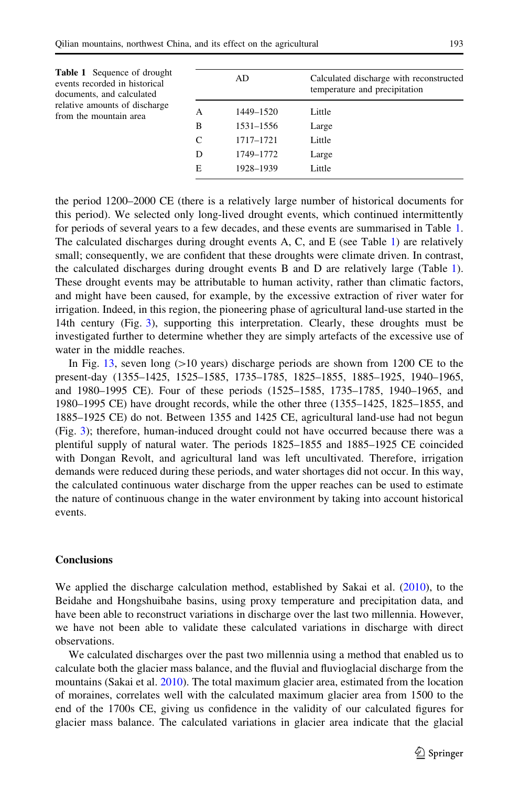| <b>Table 1</b> Sequence of drought<br>events recorded in historical<br>documents, and calculated<br>relative amounts of discharge<br>from the mountain area |   | AD        | Calculated discharge with reconstructed<br>temperature and precipitation |
|-------------------------------------------------------------------------------------------------------------------------------------------------------------|---|-----------|--------------------------------------------------------------------------|
|                                                                                                                                                             | А | 1449–1520 | Little                                                                   |
|                                                                                                                                                             | B | 1531-1556 | Large                                                                    |
|                                                                                                                                                             | C | 1717–1721 | Little                                                                   |
|                                                                                                                                                             | D | 1749-1772 | Large                                                                    |
|                                                                                                                                                             | E | 1928-1939 | Little                                                                   |

the period 1200–2000 CE (there is a relatively large number of historical documents for this period). We selected only long-lived drought events, which continued intermittently for periods of several years to a few decades, and these events are summarised in Table 1. The calculated discharges during drought events A, C, and E (see Table 1) are relatively small; consequently, we are confident that these droughts were climate driven. In contrast, the calculated discharges during drought events B and D are relatively large (Table 1). These drought events may be attributable to human activity, rather than climatic factors, and might have been caused, for example, by the excessive extraction of river water for irrigation. Indeed, in this region, the pioneering phase of agricultural land-use started in the 14th century (Fig. [3](#page-5-0)), supporting this interpretation. Clearly, these droughts must be investigated further to determine whether they are simply artefacts of the excessive use of water in the middle reaches.

In Fig. [13,](#page-15-0) seven long ( $>10$  years) discharge periods are shown from 1200 CE to the present-day (1355–1425, 1525–1585, 1735–1785, 1825–1855, 1885–1925, 1940–1965, and 1980–1995 CE). Four of these periods (1525–1585, 1735–1785, 1940–1965, and 1980–1995 CE) have drought records, while the other three (1355–1425, 1825–1855, and 1885–1925 CE) do not. Between 1355 and 1425 CE, agricultural land-use had not begun (Fig. [3\)](#page-5-0); therefore, human-induced drought could not have occurred because there was a plentiful supply of natural water. The periods 1825–1855 and 1885–1925 CE coincided with Dongan Revolt, and agricultural land was left uncultivated. Therefore, irrigation demands were reduced during these periods, and water shortages did not occur. In this way, the calculated continuous water discharge from the upper reaches can be used to estimate the nature of continuous change in the water environment by taking into account historical events.

#### **Conclusions**

We applied the discharge calculation method, established by Sakai et al. ([2010\)](#page-18-0), to the Beidahe and Hongshuibahe basins, using proxy temperature and precipitation data, and have been able to reconstruct variations in discharge over the last two millennia. However, we have not been able to validate these calculated variations in discharge with direct observations.

We calculated discharges over the past two millennia using a method that enabled us to calculate both the glacier mass balance, and the fluvial and fluvioglacial discharge from the mountains (Sakai et al. [2010\)](#page-18-0). The total maximum glacier area, estimated from the location of moraines, correlates well with the calculated maximum glacier area from 1500 to the end of the 1700s CE, giving us confidence in the validity of our calculated figures for glacier mass balance. The calculated variations in glacier area indicate that the glacial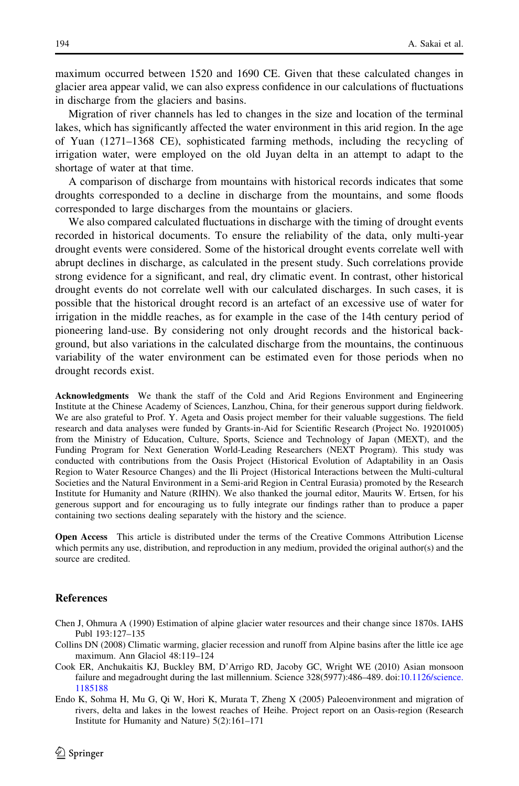<span id="page-17-0"></span>maximum occurred between 1520 and 1690 CE. Given that these calculated changes in glacier area appear valid, we can also express confidence in our calculations of fluctuations in discharge from the glaciers and basins.

Migration of river channels has led to changes in the size and location of the terminal lakes, which has significantly affected the water environment in this arid region. In the age of Yuan (1271–1368 CE), sophisticated farming methods, including the recycling of irrigation water, were employed on the old Juyan delta in an attempt to adapt to the shortage of water at that time.

A comparison of discharge from mountains with historical records indicates that some droughts corresponded to a decline in discharge from the mountains, and some floods corresponded to large discharges from the mountains or glaciers.

We also compared calculated fluctuations in discharge with the timing of drought events recorded in historical documents. To ensure the reliability of the data, only multi-year drought events were considered. Some of the historical drought events correlate well with abrupt declines in discharge, as calculated in the present study. Such correlations provide strong evidence for a significant, and real, dry climatic event. In contrast, other historical drought events do not correlate well with our calculated discharges. In such cases, it is possible that the historical drought record is an artefact of an excessive use of water for irrigation in the middle reaches, as for example in the case of the 14th century period of pioneering land-use. By considering not only drought records and the historical background, but also variations in the calculated discharge from the mountains, the continuous variability of the water environment can be estimated even for those periods when no drought records exist.

Acknowledgments We thank the staff of the Cold and Arid Regions Environment and Engineering Institute at the Chinese Academy of Sciences, Lanzhou, China, for their generous support during fieldwork. We are also grateful to Prof. Y. Ageta and Oasis project member for their valuable suggestions. The field research and data analyses were funded by Grants-in-Aid for Scientific Research (Project No. 19201005) from the Ministry of Education, Culture, Sports, Science and Technology of Japan (MEXT), and the Funding Program for Next Generation World-Leading Researchers (NEXT Program). This study was conducted with contributions from the Oasis Project (Historical Evolution of Adaptability in an Oasis Region to Water Resource Changes) and the Ili Project (Historical Interactions between the Multi-cultural Societies and the Natural Environment in a Semi-arid Region in Central Eurasia) promoted by the Research Institute for Humanity and Nature (RIHN). We also thanked the journal editor, Maurits W. Ertsen, for his generous support and for encouraging us to fully integrate our findings rather than to produce a paper containing two sections dealing separately with the history and the science.

Open Access This article is distributed under the terms of the Creative Commons Attribution License which permits any use, distribution, and reproduction in any medium, provided the original author(s) and the source are credited.

### References

- Chen J, Ohmura A (1990) Estimation of alpine glacier water resources and their change since 1870s. IAHS Publ 193:127–135
- Collins DN (2008) Climatic warming, glacier recession and runoff from Alpine basins after the little ice age maximum. Ann Glaciol 48:119–124
- Cook ER, Anchukaitis KJ, Buckley BM, D'Arrigo RD, Jacoby GC, Wright WE (2010) Asian monsoon failure and megadrought during the last millennium. Science 328(5977):486–489. doi[:10.1126/science.](http://dx.doi.org/10.1126/science.1185188) [1185188](http://dx.doi.org/10.1126/science.1185188)
- Endo K, Sohma H, Mu G, Qi W, Hori K, Murata T, Zheng X (2005) Paleoenvironment and migration of rivers, delta and lakes in the lowest reaches of Heihe. Project report on an Oasis-region (Research Institute for Humanity and Nature) 5(2):161–171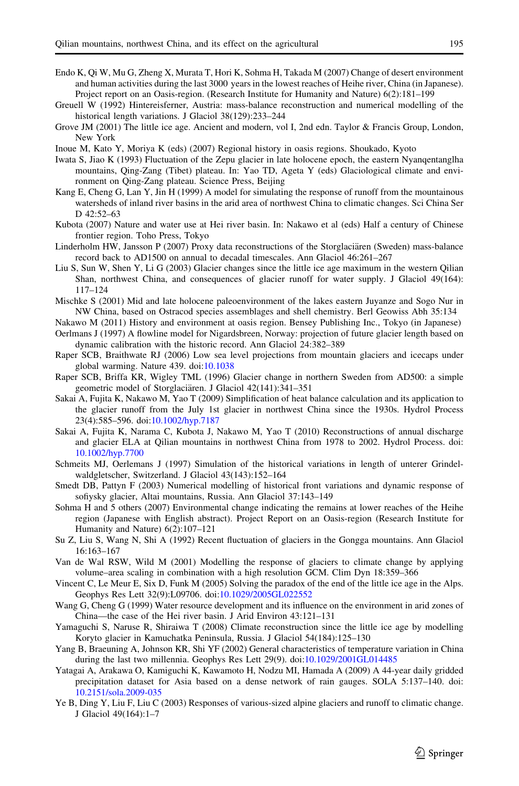- <span id="page-18-0"></span>Endo K, Qi W, Mu G, Zheng X, Murata T, Hori K, Sohma H, Takada M (2007) Change of desert environment and human activities during the last 3000 years in the lowest reaches of Heihe river, China (in Japanese). Project report on an Oasis-region. (Research Institute for Humanity and Nature) 6(2):181–199
- Greuell W (1992) Hintereisferner, Austria: mass-balance reconstruction and numerical modelling of the historical length variations. J Glaciol 38(129):233–244
- Grove JM (2001) The little ice age. Ancient and modern, vol I, 2nd edn. Taylor & Francis Group, London, New York

Inoue M, Kato Y, Moriya K (eds) (2007) Regional history in oasis regions. Shoukado, Kyoto

- Iwata S, Jiao K (1993) Fluctuation of the Zepu glacier in late holocene epoch, the eastern Nyanqentanglha mountains, Qing-Zang (Tibet) plateau. In: Yao TD, Ageta Y (eds) Glaciological climate and environment on Qing-Zang plateau. Science Press, Beijing
- Kang E, Cheng G, Lan Y, Jin H (1999) A model for simulating the response of runoff from the mountainous watersheds of inland river basins in the arid area of northwest China to climatic changes. Sci China Ser  $D$  42:52–63
- Kubota (2007) Nature and water use at Hei river basin. In: Nakawo et al (eds) Half a century of Chinese frontier region. Toho Press, Tokyo
- Linderholm HW, Jansson P (2007) Proxy data reconstructions of the Storglaciatien (Sweden) mass-balance record back to AD1500 on annual to decadal timescales. Ann Glaciol 46:261–267
- Liu S, Sun W, Shen Y, Li G (2003) Glacier changes since the little ice age maximum in the western Qilian Shan, northwest China, and consequences of glacier runoff for water supply. J Glaciol 49(164): 117–124
- Mischke S (2001) Mid and late holocene paleoenvironment of the lakes eastern Juyanze and Sogo Nur in NW China, based on Ostracod species assemblages and shell chemistry. Berl Geowiss Abh 35:134
- Nakawo M (2011) History and environment at oasis region. Bensey Publishing Inc., Tokyo (in Japanese) Oerlmans J (1997) A flowline model for Nigardsbreen, Norway: projection of future glacier length based on
- dynamic calibration with the historic record. Ann Glaciol 24:382–389 Raper SCB, Braithwate RJ (2006) Low sea level projections from mountain glaciers and icecaps under
- global warming. Nature 439. doi:[10.1038](http://10.1038) Raper SCB, Briffa KR, Wigley TML (1996) Glacier change in northern Sweden from AD500: a simple
- geometric model of Storglaciaren. J Glaciol 42(141):341–351 Sakai A, Fujita K, Nakawo M, Yao T (2009) Simplification of heat balance calculation and its application to the glacier runoff from the July 1st glacier in northwest China since the 1930s. Hydrol Process 23(4):585–596. doi[:10.1002/hyp.7187](http://dx.doi.org/10.1002/hyp.7187)
- Sakai A, Fujita K, Narama C, Kubota J, Nakawo M, Yao T (2010) Reconstructions of annual discharge and glacier ELA at Qilian mountains in northwest China from 1978 to 2002. Hydrol Process. doi: [10.1002/hyp.7700](http://dx.doi.org/10.1002/hyp.7700)
- Schmeits MJ, Oerlemans J (1997) Simulation of the historical variations in length of unterer Grindelwaldgletscher, Switzerland. J Glaciol 43(143):152–164
- Smedt DB, Pattyn F (2003) Numerical modelling of historical front variations and dynamic response of sofiysky glacier, Altai mountains, Russia. Ann Glaciol 37:143–149
- Sohma H and 5 others (2007) Environmental change indicating the remains at lower reaches of the Heihe region (Japanese with English abstract). Project Report on an Oasis-region (Research Institute for Humanity and Nature) 6(2):107–121
- Su Z, Liu S, Wang N, Shi A (1992) Recent fluctuation of glaciers in the Gongga mountains. Ann Glaciol 16:163–167
- Van de Wal RSW, Wild M (2001) Modelling the response of glaciers to climate change by applying volume–area scaling in combination with a high resolution GCM. Clim Dyn 18:359–366
- Vincent C, Le Meur E, Six D, Funk M (2005) Solving the paradox of the end of the little ice age in the Alps. Geophys Res Lett 32(9):L09706. doi[:10.1029/2005GL022552](http://dx.doi.org/10.1029/2005GL022552)
- Wang G, Cheng G (1999) Water resource development and its influence on the environment in arid zones of China—the case of the Hei river basin. J Arid Environ 43:121–131
- Yamaguchi S, Naruse R, Shiraiwa T (2008) Climate reconstruction since the little ice age by modelling Koryto glacier in Kamuchatka Peninsula, Russia. J Glaciol 54(184):125–130
- Yang B, Braeuning A, Johnson KR, Shi YF (2002) General characteristics of temperature variation in China during the last two millennia. Geophys Res Lett 29(9). doi[:10.1029/2001GL014485](http://dx.doi.org/10.1029/2001GL014485)
- Yatagai A, Arakawa O, Kamiguchi K, Kawamoto H, Nodzu MI, Hamada A (2009) A 44-year daily gridded precipitation dataset for Asia based on a dense network of rain gauges. SOLA 5:137–140. doi: [10.2151/sola.2009-035](http://dx.doi.org/10.2151/sola.2009-035)
- Ye B, Ding Y, Liu F, Liu C (2003) Responses of various-sized alpine glaciers and runoff to climatic change. J Glaciol 49(164):1–7